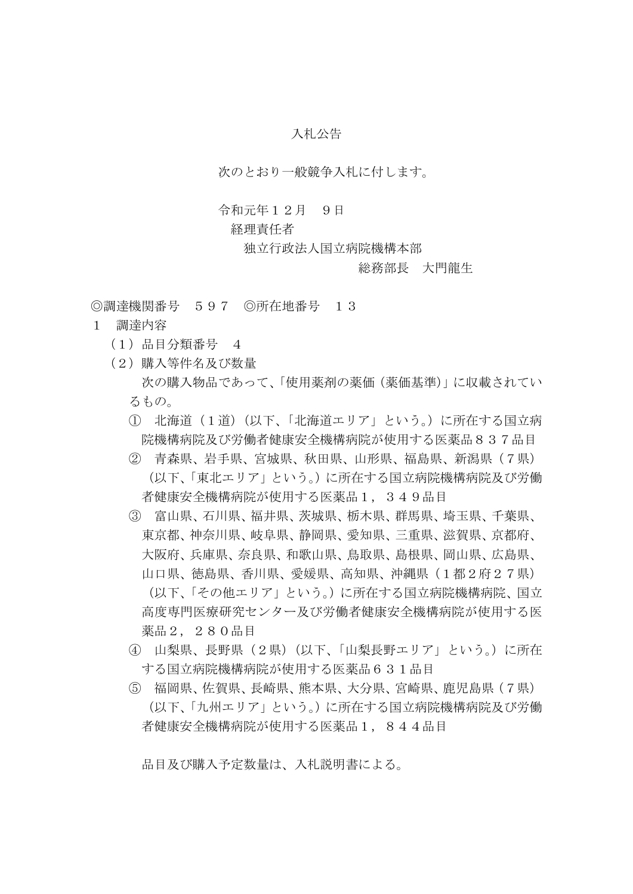## 入札公告

次のとおり一般競争入札に付します。

## 令和元年12月 9日

## 経理責任者

独立行政法人国立病院機構本部

## 総務部長 大門龍生

◎調達機関番号 597 ◎所在地番号 13

- 1 調達内容
	- (1)品目分類番号 4
	- (2)購入等件名及び数量 次の購入物品であって、「使用薬剤の薬価(薬価基準)」に収載されてい るもの。
		- ① 北海道(1道)(以下、「北海道エリア」という。)に所在する国立病 院機構病院及び労働者健康安全機構病院が使用する医薬品837品目
		- ② 青森県、岩手県、宮城県、秋田県、山形県、福島県、新潟県(7県) (以下、「東北エリア」という。)に所在する国立病院機構病院及び労働 者健康安全機構病院が使用する医薬品1,349品目
		- ③ 富山県、石川県、福井県、茨城県、栃木県、群馬県、埼玉県、千葉県、 東京都、神奈川県、岐阜県、静岡県、愛知県、三重県、滋賀県、京都府、 大阪府、兵庫県、奈良県、和歌山県、鳥取県、島根県、岡山県、広島県、 山口県、徳島県、香川県、愛媛県、高知県、沖縄県(1都2府27県) (以下、「その他エリア」という。)に所在する国立病院機構病院、国立 高度専門医療研究センター及び労働者健康安全機構病院が使用する医 薬品2,280品目
		- ④ 山梨県、長野県(2県)(以下、「山梨長野エリア」という。)に所在 する国立病院機構病院が使用する医薬品631品目
		- ⑤ 福岡県、佐賀県、長崎県、熊本県、大分県、宮崎県、鹿児島県(7県) (以下、「九州エリア」という。)に所在する国立病院機構病院及び労働 者健康安全機構病院が使用する医薬品1,844品目

品目及び購入予定数量は、入札説明書による。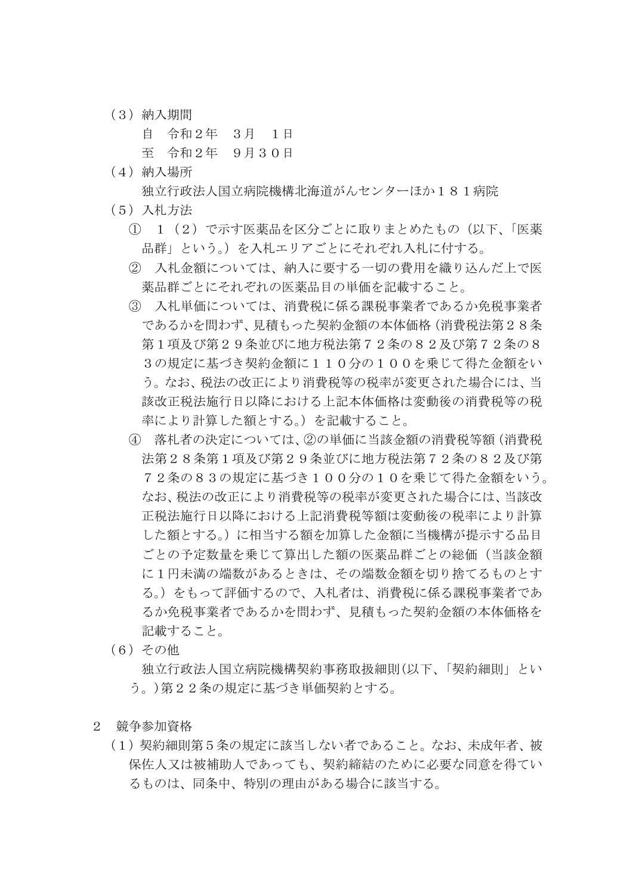(3)納入期間

自 令和2年 3月 1日

- 至 令和2年 9月30日
- (4)納入場所

独立行政法人国立病院機構北海道がんセンターほか181病院

- (5)入札方法
	- ① 1(2)で示す医薬品を区分ごとに取りまとめたもの(以下、「医薬 品群」という。)を入札エリアごとにそれぞれ入札に付する。
	- ② 入札金額については、納入に要する一切の費用を織り込んだ上で医 薬品群ごとにそれぞれの医薬品目の単価を記載すること。
	- ③ 入札単価については、消費税に係る課税事業者であるか免税事業者 であるかを問わず、見積もった契約金額の本体価格(消費税法第28条 第1項及び第29条並びに地方税法第72条の82及び第72条の8 3の規定に基づき契約金額に110分の100を乗じて得た金額をい う。なお、税法の改正により消費税等の税率が変更された場合には、当 該改正税法施行日以降における上記本体価格は変動後の消費税等の税 率により計算した額とする。)を記載すること。
	- ④ 落札者の決定については、②の単価に当該金額の消費税等額(消費税 法第28条第1項及び第29条並びに地方税法第72条の82及び第 72条の83の規定に基づき100分の10を乗じて得た金額をいう。 なお、税法の改正により消費税等の税率が変更された場合には、当該改 正税法施行日以降における上記消費税等額は変動後の税率により計算 した額とする。)に相当する額を加算した金額に当機構が提示する品目 ごとの予定数量を乗じて算出した額の医薬品群ごとの総価(当該金額 に1円未満の端数があるときは、その端数金額を切り捨てるものとす る。)をもって評価するので、入札者は、消費税に係る課税事業者であ るか免税事業者であるかを問わず、見積もった契約金額の本体価格を 記載すること。
- (6)その他

独立行政法人国立病院機構契約事務取扱細則(以下、「契約細則」とい う。)第22条の規定に基づき単価契約とする。

- 2 競争参加資格
	- (1)契約細則第5条の規定に該当しない者であること。なお、未成年者、被 保佐人又は被補助人であっても、契約締結のために必要な同意を得てい るものは、同条中、特別の理由がある場合に該当する。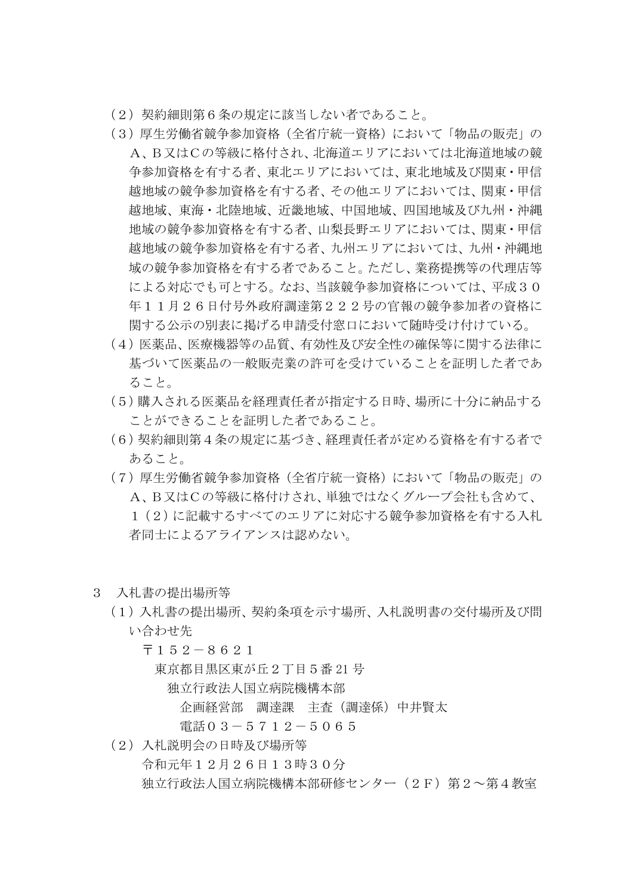- (2)契約細則第6条の規定に該当しない者であること。
- (3)厚生労働省競争参加資格(全省庁統一資格)において「物品の販売」の A、B又はCの等級に格付され、北海道エリアにおいては北海道地域の競 争参加資格を有する者、東北エリアにおいては、東北地域及び関東・甲信 越地域の競争参加資格を有する者、その他エリアにおいては、関東・甲信 越地域、東海・北陸地域、近畿地域、中国地域、四国地域及び九州・沖縄 地域の競争参加資格を有する者、山梨長野エリアにおいては、関東・甲信 越地域の競争参加資格を有する者、九州エリアにおいては、九州・沖縄地 域の競争参加資格を有する者であること。ただし、業務提携等の代理店等 による対応でも可とする。なお、当該競争参加資格については、平成30 年11月26日付号外政府調達第222号の官報の競争参加者の資格に 関する公示の別表に掲げる申請受付窓口において随時受け付けている。
- (4)医薬品、医療機器等の品質、有効性及び安全性の確保等に関する法律に 基づいて医薬品の一般販売業の許可を受けていることを証明した者であ ること。
- (5)購入される医薬品を経理責任者が指定する日時、場所に十分に納品する ことができることを証明した者であること。
- (6)契約細則第4条の規定に基づき、経理責任者が定める資格を有する者で あること。
- (7)厚生労働省競争参加資格(全省庁統一資格)において「物品の販売」の A、B又はCの等級に格付けされ、単独ではなくグループ会社も含めて、 1(2)に記載するすべてのエリアに対応する競争参加資格を有する入札 者同士によるアライアンスは認めない。
- 3 入札書の提出場所等
	- (1)入札書の提出場所、契約条項を示す場所、入札説明書の交付場所及び問 い合わせ先
		- 〒152-8621
			- 東京都目黒区東が丘2丁目5番 21 号
				- 独立行政法人国立病院機構本部
					- 企画経営部 調達課 主査(調達係)中井賢太
					- 電話03-5712-5065
	- (2)入札説明会の日時及び場所等
		- 令和元年12月26日13時30分
		- 独立行政法人国立病院機構本部研修センター(2F)第2~第4教室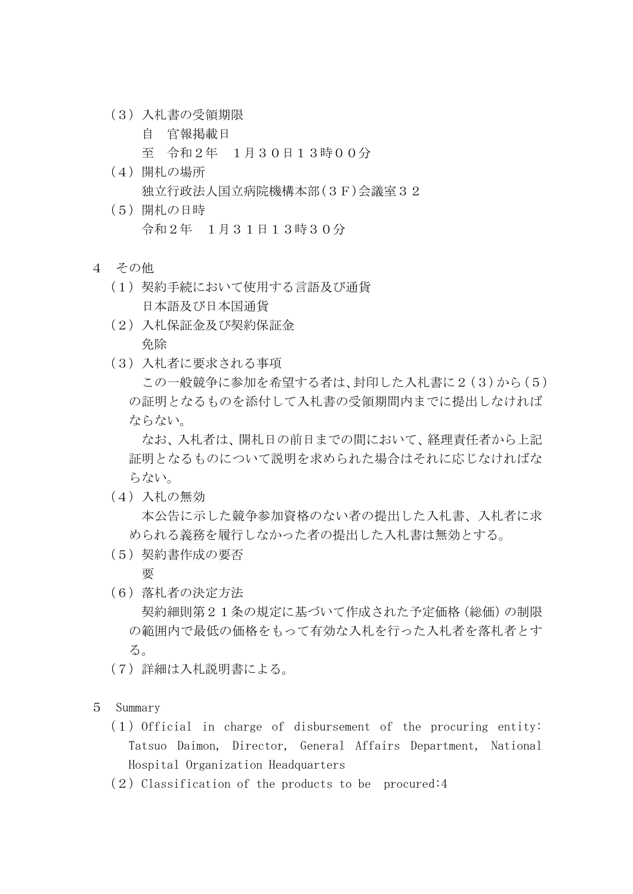- (3)入札書の受領期限
	- 自 官報掲載日

至 令和2年 1月30日13時00分

- (4)開札の場所 独立行政法人国立病院機構本部(3F)会議室32
- (5)開札の日時 令和2年 1月31日13時30分
- 4 その他
	- (1)契約手続において使用する言語及び通貨 日本語及び日本国通貨
	- (2)入札保証金及び契約保証金 免除
	- (3)入札者に要求される事項

この一般競争に参加を希望する者は、封印した入札書に2(3)から(5) の証明となるものを添付して入札書の受領期間内までに提出しなければ ならない。

なお、入札者は、開札日の前日までの間において、経理責任者から上記 証明となるものについて説明を求められた場合はそれに応じなければな らない。

(4)入札の無効

本公告に示した競争参加資格のない者の提出した入札書、入札者に求 められる義務を履行しなかった者の提出した入札書は無効とする。

(5)契約書作成の要否

要

(6)落札者の決定方法

契約細則第21条の規定に基づいて作成された予定価格(総価)の制限 の範囲内で最低の価格をもって有効な入札を行った入札者を落札者とす る。

- (7)詳細は入札説明書による。
- 5 Summary
	- $(1)$  Official in charge of disbursement of the procuring entity: Tatsuo Daimon, Director, General Affairs Department, National Hospital Organization Headquarters
	- $(2)$  Classification of the products to be procured:4